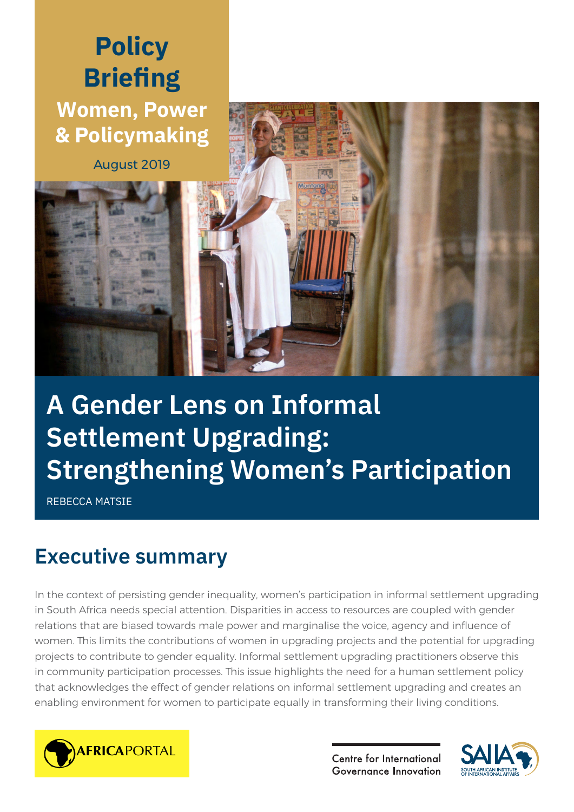# **Policy Briefing Women, Power & Policymaking**

August 2019



# **A Gender Lens on Informal Settlement Upgrading: Strengthening Women's Participation**

REBECCA MATSIE

# **Executive summary**

In the context of persisting gender inequality, women's participation in informal settlement upgrading in South Africa needs special attention. Disparities in access to resources are coupled with gender relations that are biased towards male power and marginalise the voice, agency and influence of women. This limits the contributions of women in upgrading projects and the potential for upgrading projects to contribute to gender equality. Informal settlement upgrading practitioners observe this in community participation processes. This issue highlights the need for a human settlement policy that acknowledges the effect of gender relations on informal settlement upgrading and creates an enabling environment for women to participate equally in transforming their living conditions.



Centre for International **Governance Innovation** 

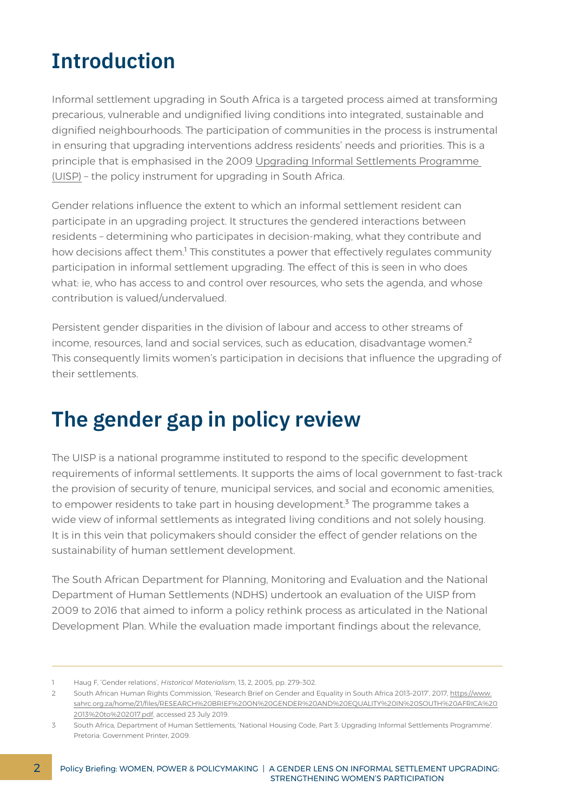### **Introduction**

Informal settlement upgrading in South Africa is a targeted process aimed at transforming precarious, vulnerable and undignified living conditions into integrated, sustainable and dignified neighbourhoods. The participation of communities in the process is instrumental in ensuring that upgrading interventions address residents' needs and priorities. This is a principle that is emphasised in the 2009 [Upgrading Informal Settlements Programme](http://www.dhs.gov.za/sites/default/files/documents/national_housing_2009/4_Incremental_Interventions/5%20Volume%204%20Upgrading%20Infromal%20Settlement.pdf)  [\(UISP\)](http://www.dhs.gov.za/sites/default/files/documents/national_housing_2009/4_Incremental_Interventions/5%20Volume%204%20Upgrading%20Infromal%20Settlement.pdf) – the policy instrument for upgrading in South Africa.

Gender relations influence the extent to which an informal settlement resident can participate in an upgrading project. It structures the gendered interactions between residents – determining who participates in decision-making, what they contribute and how decisions affect them.<sup>1</sup> This constitutes a power that effectively regulates community participation in informal settlement upgrading. The effect of this is seen in who does what: ie, who has access to and control over resources, who sets the agenda, and whose contribution is valued/undervalued.

Persistent gender disparities in the division of labour and access to other streams of income, resources, land and social services, such as education, disadvantage women.<sup>2</sup> This consequently limits women's participation in decisions that influence the upgrading of their settlements.

# **The gender gap in policy review**

The UISP is a national programme instituted to respond to the specific development requirements of informal settlements. It supports the aims of local government to fast-track the provision of security of tenure, municipal services, and social and economic amenities, to empower residents to take part in housing development.<sup>3</sup> The programme takes a wide view of informal settlements as integrated living conditions and not solely housing. It is in this vein that policymakers should consider the effect of gender relations on the sustainability of human settlement development.

The South African Department for Planning, Monitoring and Evaluation and the National Department of Human Settlements (NDHS) undertook an evaluation of the UISP from 2009 to 2016 that aimed to inform a policy rethink process as articulated in the National Development Plan. While the evaluation made important findings about the relevance,

<sup>1</sup> Haug F, 'Gender relations', *Historical Materialism*, 13, 2, 2005, pp. 279–302.

<sup>2</sup> South African Human Rights Commission, 'Research Brief on Gender and Equality in South Africa 2013–2017', 2017, [https://www.](https://www.sahrc.org.za/home/21/files/RESEARCH%20BRIEF%20ON%20GENDER%20AND%20EQUALITY%20IN%20SOUTH%20AFRICA%202013%20to%202017.pdf) [sahrc.org.za/home/21/files/RESEARCH%20BRIEF%20ON%20GENDER%20AND%20EQUALITY%20IN%20SOUTH%20AFRICA%20](https://www.sahrc.org.za/home/21/files/RESEARCH%20BRIEF%20ON%20GENDER%20AND%20EQUALITY%20IN%20SOUTH%20AFRICA%202013%20to%202017.pdf) [2013%20to%202017.pdf,](https://www.sahrc.org.za/home/21/files/RESEARCH%20BRIEF%20ON%20GENDER%20AND%20EQUALITY%20IN%20SOUTH%20AFRICA%202013%20to%202017.pdf) accessed 23 July 2019.

<sup>3</sup> South Africa, Department of Human Settlements, 'National Housing Code, Part 3: Upgrading Informal Settlements Programme'. Pretoria: Government Printer, 2009.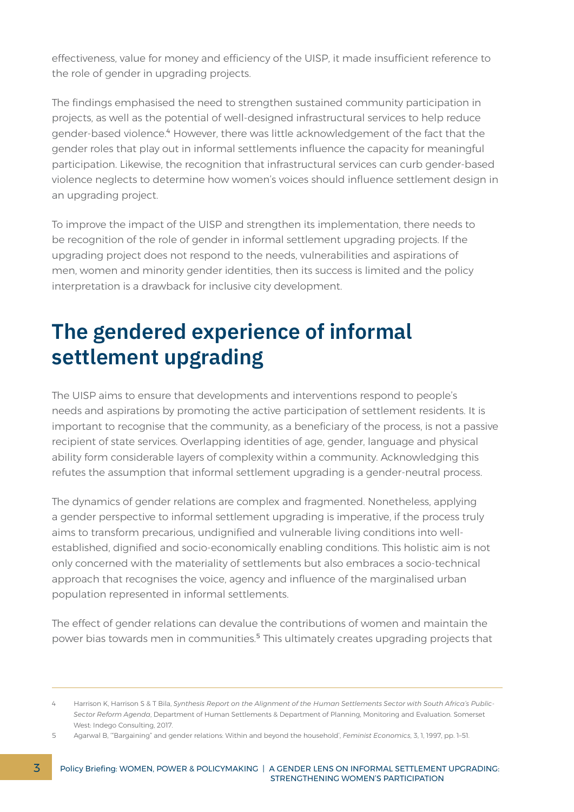effectiveness, value for money and efficiency of the UISP, it made insufficient reference to the role of gender in upgrading projects.

The findings emphasised the need to strengthen sustained community participation in projects, as well as the potential of well-designed infrastructural services to help reduce gender-based violence.<sup>4</sup> However, there was little acknowledgement of the fact that the gender roles that play out in informal settlements influence the capacity for meaningful participation. Likewise, the recognition that infrastructural services can curb gender-based violence neglects to determine how women's voices should influence settlement design in an upgrading project.

To improve the impact of the UISP and strengthen its implementation, there needs to be recognition of the role of gender in informal settlement upgrading projects. If the upgrading project does not respond to the needs, vulnerabilities and aspirations of men, women and minority gender identities, then its success is limited and the policy interpretation is a drawback for inclusive city development.

# **The gendered experience of informal settlement upgrading**

The UISP aims to ensure that developments and interventions respond to people's needs and aspirations by promoting the active participation of settlement residents. It is important to recognise that the community, as a beneficiary of the process, is not a passive recipient of state services. Overlapping identities of age, gender, language and physical ability form considerable layers of complexity within a community. Acknowledging this refutes the assumption that informal settlement upgrading is a gender-neutral process.

The dynamics of gender relations are complex and fragmented. Nonetheless, applying a gender perspective to informal settlement upgrading is imperative, if the process truly aims to transform precarious, undignified and vulnerable living conditions into wellestablished, dignified and socio-economically enabling conditions. This holistic aim is not only concerned with the materiality of settlements but also embraces a socio-technical approach that recognises the voice, agency and influence of the marginalised urban population represented in informal settlements.

The effect of gender relations can devalue the contributions of women and maintain the power bias towards men in communities.<sup>5</sup> This ultimately creates upgrading projects that

<sup>4</sup> Harrison K, Harrison S & T Bila, *Synthesis Report on the Alignment of the Human Settlements Sector with South Africa's Public-Sector Reform Agenda*, Department of Human Settlements & Department of Planning, Monitoring and Evaluation. Somerset West: Indego Consulting, 2017.

<sup>5</sup> Agarwal B, '"Bargaining" and gender relations: Within and beyond the household', *Feminist Economics*, 3, 1, 1997, pp. 1–51.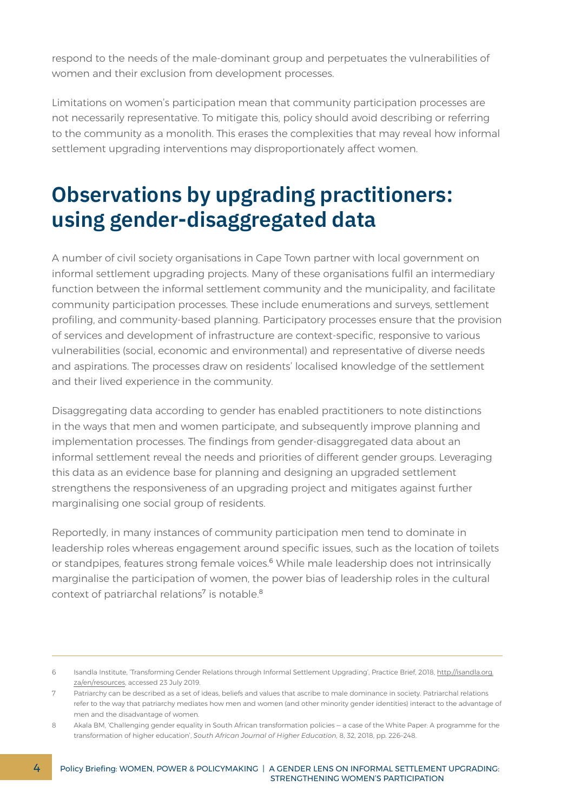respond to the needs of the male-dominant group and perpetuates the vulnerabilities of women and their exclusion from development processes.

Limitations on women's participation mean that community participation processes are not necessarily representative. To mitigate this, policy should avoid describing or referring to the community as a monolith. This erases the complexities that may reveal how informal settlement upgrading interventions may disproportionately affect women.

## **Observations by upgrading practitioners: using gender-disaggregated data**

A number of civil society organisations in Cape Town partner with local government on informal settlement upgrading projects. Many of these organisations fulfil an intermediary function between the informal settlement community and the municipality, and facilitate community participation processes. These include enumerations and surveys, settlement profiling, and community-based planning. Participatory processes ensure that the provision of services and development of infrastructure are context-specific, responsive to various vulnerabilities (social, economic and environmental) and representative of diverse needs and aspirations. The processes draw on residents' localised knowledge of the settlement and their lived experience in the community.

Disaggregating data according to gender has enabled practitioners to note distinctions in the ways that men and women participate, and subsequently improve planning and implementation processes. The findings from gender-disaggregated data about an informal settlement reveal the needs and priorities of different gender groups. Leveraging this data as an evidence base for planning and designing an upgraded settlement strengthens the responsiveness of an upgrading project and mitigates against further marginalising one social group of residents.

Reportedly, in many instances of community participation men tend to dominate in leadership roles whereas engagement around specific issues, such as the location of toilets or standpipes, features strong female voices.<sup>6</sup> While male leadership does not intrinsically marginalise the participation of women, the power bias of leadership roles in the cultural context of patriarchal relations<sup>7</sup> is notable.<sup>8</sup>

<sup>6</sup> Isandla Institute, 'Transforming Gender Relations through Informal Settlement Upgrading', Practice Brief, 2018, [http://isandla.org.](http://isandla.org.za/en/resources) [za/en/resources,](http://isandla.org.za/en/resources) accessed 23 July 2019.

<sup>7</sup> Patriarchy can be described as a set of ideas, beliefs and values that ascribe to male dominance in society. Patriarchal relations refer to the way that patriarchy mediates how men and women (and other minority gender identities) interact to the advantage of men and the disadvantage of women.

<sup>8</sup> Akala BM, 'Challenging gender equality in South African transformation policies – a case of the White Paper: A programme for the transformation of higher education', *South African Journal of Higher Education*, 8, 32, 2018, pp. 226–248.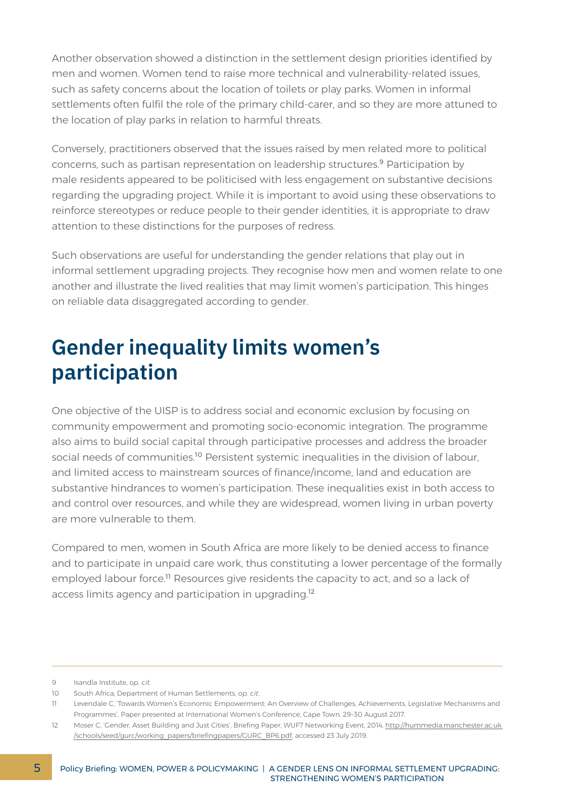Another observation showed a distinction in the settlement design priorities identified by men and women. Women tend to raise more technical and vulnerability-related issues, such as safety concerns about the location of toilets or play parks. Women in informal settlements often fulfil the role of the primary child-carer, and so they are more attuned to the location of play parks in relation to harmful threats.

Conversely, practitioners observed that the issues raised by men related more to political concerns, such as partisan representation on leadership structures.<sup>9</sup> Participation by male residents appeared to be politicised with less engagement on substantive decisions regarding the upgrading project. While it is important to avoid using these observations to reinforce stereotypes or reduce people to their gender identities, it is appropriate to draw attention to these distinctions for the purposes of redress.

Such observations are useful for understanding the gender relations that play out in informal settlement upgrading projects. They recognise how men and women relate to one another and illustrate the lived realities that may limit women's participation. This hinges on reliable data disaggregated according to gender.

# **Gender inequality limits women's participation**

One objective of the UISP is to address social and economic exclusion by focusing on community empowerment and promoting socio-economic integration. The programme also aims to build social capital through participative processes and address the broader social needs of communities.<sup>10</sup> Persistent systemic inequalities in the division of labour, and limited access to mainstream sources of finance/income, land and education are substantive hindrances to women's participation. These inequalities exist in both access to and control over resources, and while they are widespread, women living in urban poverty are more vulnerable to them.

Compared to men, women in South Africa are more likely to be denied access to finance and to participate in unpaid care work, thus constituting a lower percentage of the formally employed labour force.<sup>11</sup> Resources give residents the capacity to act, and so a lack of access limits agency and participation in upgrading.<sup>12</sup>

<sup>9</sup> Isandla Institute, *op. cit*.

<sup>10</sup> South Africa, Department of Human Settlements, *op. cit*.

<sup>11</sup> Levendale C, 'Towards Women's Economic Empowerment: An Overview of Challenges, Achievements, Legislative Mechanisms and Programmes', Paper presented at International Women's Conference, Cape Town, 29–30 August 2017.

<sup>12</sup> Moser C, 'Gender, Asset Building and Just Cities', Briefing Paper, WUF7 Networking Event, 2014, [http://hummedia.manchester.ac.uk](http://hummedia.manchester.ac.uk/schools/seed/gurc/working_papers/briefingpapers/GURC_BP6.pdf)  [/schools/seed/gurc/working\\_papers/briefingpapers/GURC\\_BP6.pdf,](http://hummedia.manchester.ac.uk/schools/seed/gurc/working_papers/briefingpapers/GURC_BP6.pdf) accessed 23 July 2019.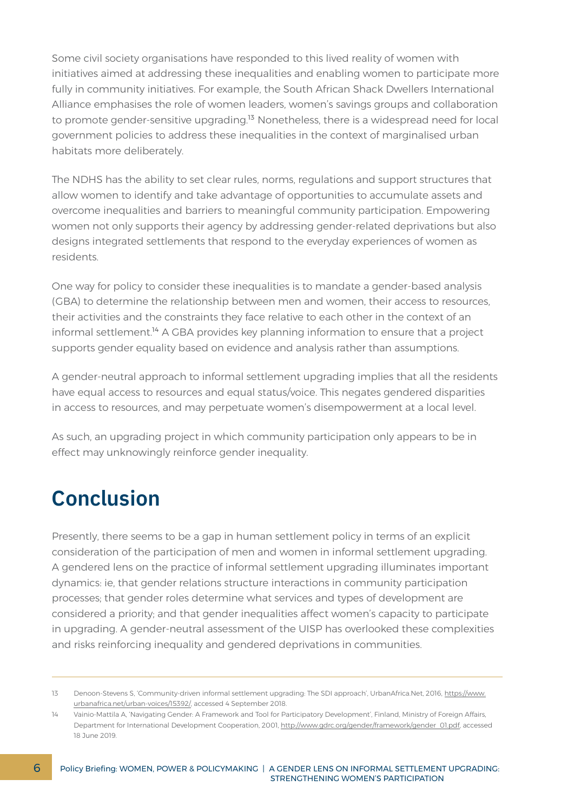Some civil society organisations have responded to this lived reality of women with initiatives aimed at addressing these inequalities and enabling women to participate more fully in community initiatives. For example, the South African Shack Dwellers International Alliance emphasises the role of women leaders, women's savings groups and collaboration to promote gender-sensitive upgrading.<sup>13</sup> Nonetheless, there is a widespread need for local government policies to address these inequalities in the context of marginalised urban habitats more deliberately.

The NDHS has the ability to set clear rules, norms, regulations and support structures that allow women to identify and take advantage of opportunities to accumulate assets and overcome inequalities and barriers to meaningful community participation. Empowering women not only supports their agency by addressing gender-related deprivations but also designs integrated settlements that respond to the everyday experiences of women as residents.

One way for policy to consider these inequalities is to mandate a gender-based analysis (GBA) to determine the relationship between men and women, their access to resources, their activities and the constraints they face relative to each other in the context of an informal settlement.<sup>14</sup> A GBA provides key planning information to ensure that a project supports gender equality based on evidence and analysis rather than assumptions.

A gender-neutral approach to informal settlement upgrading implies that all the residents have equal access to resources and equal status/voice. This negates gendered disparities in access to resources, and may perpetuate women's disempowerment at a local level.

As such, an upgrading project in which community participation only appears to be in effect may unknowingly reinforce gender inequality.

#### **Conclusion**

Presently, there seems to be a gap in human settlement policy in terms of an explicit consideration of the participation of men and women in informal settlement upgrading. A gendered lens on the practice of informal settlement upgrading illuminates important dynamics: ie, that gender relations structure interactions in community participation processes; that gender roles determine what services and types of development are considered a priority; and that gender inequalities affect women's capacity to participate in upgrading. A gender-neutral assessment of the UISP has overlooked these complexities and risks reinforcing inequality and gendered deprivations in communities.

<sup>13</sup> Denoon-Stevens S, 'Community-driven informal settlement upgrading: The SDI approach', UrbanAfrica.Net, 2016, [https://www.](https://www.urbanafrica.net/urban-voices/15392/) [urbanafrica.net/urban-voices/15392/,](https://www.urbanafrica.net/urban-voices/15392/) accessed 4 September 2018.

<sup>14</sup> Vainio-Mattila A, 'Navigating Gender: A Framework and Tool for Participatory Development', Finland, Ministry of Foreign Affairs, Department for International Development Cooperation, 2001, [http://www.gdrc.org/gender/framework/gender\\_01.pdf,](http://www.gdrc.org/gender/framework/gender_01.pdf) accessed 18 June 2019.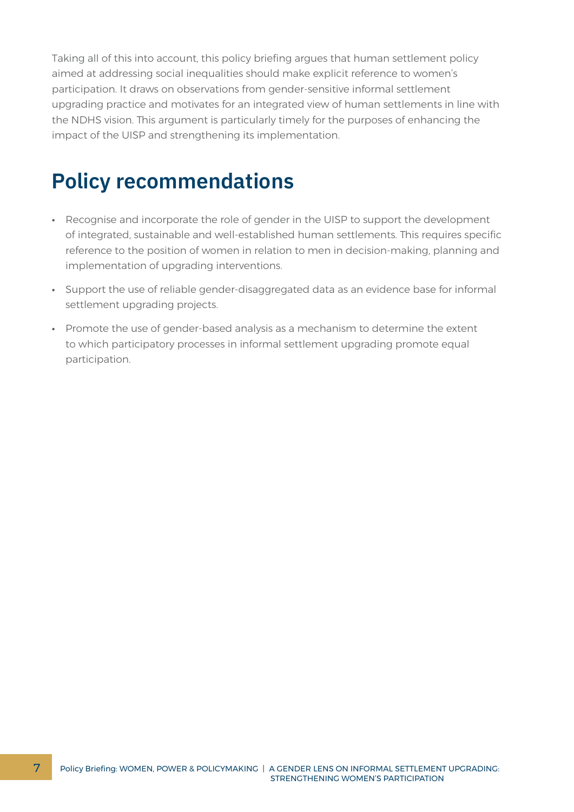Taking all of this into account, this policy briefing argues that human settlement policy aimed at addressing social inequalities should make explicit reference to women's participation. It draws on observations from gender-sensitive informal settlement upgrading practice and motivates for an integrated view of human settlements in line with the NDHS vision. This argument is particularly timely for the purposes of enhancing the impact of the UISP and strengthening its implementation.

# **Policy recommendations**

- **∙** Recognise and incorporate the role of gender in the UISP to support the development of integrated, sustainable and well-established human settlements. This requires specific reference to the position of women in relation to men in decision-making, planning and implementation of upgrading interventions.
- **∙** Support the use of reliable gender-disaggregated data as an evidence base for informal settlement upgrading projects.
- **∙** Promote the use of gender-based analysis as a mechanism to determine the extent to which participatory processes in informal settlement upgrading promote equal participation.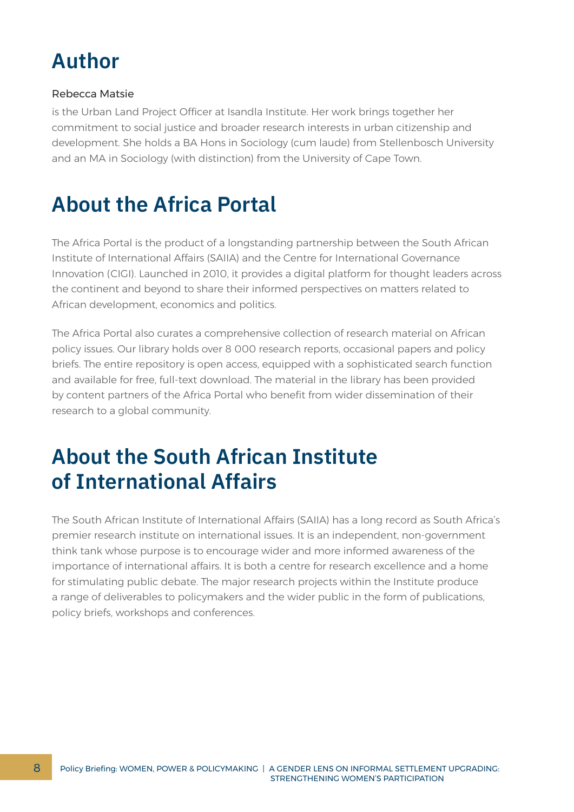# **Author**

#### Rebecca Matsie

is the Urban Land Project Officer at Isandla Institute. Her work brings together her commitment to social justice and broader research interests in urban citizenship and development. She holds a BA Hons in Sociology (cum laude) from Stellenbosch University and an MA in Sociology (with distinction) from the University of Cape Town.

# **About the Africa Portal**

The Africa Portal is the product of a longstanding partnership between the South African Institute of International Affairs (SAIIA) and the Centre for International Governance Innovation (CIGI). Launched in 2010, it provides a digital platform for thought leaders across the continent and beyond to share their informed perspectives on matters related to African development, economics and politics.

The Africa Portal also curates a comprehensive collection of research material on African policy issues. Our library holds over 8 000 research reports, occasional papers and policy briefs. The entire repository is open access, equipped with a sophisticated search function and available for free, full-text download. The material in the library has been provided by content partners of the Africa Portal who benefit from wider dissemination of their research to a global community.

#### **About the South African Institute of International Affairs**

The South African Institute of International Affairs (SAIIA) has a long record as South Africa's premier research institute on international issues. It is an independent, non-government think tank whose purpose is to encourage wider and more informed awareness of the importance of international affairs. It is both a centre for research excellence and a home for stimulating public debate. The major research projects within the Institute produce a range of deliverables to policymakers and the wider public in the form of publications, policy briefs, workshops and conferences.